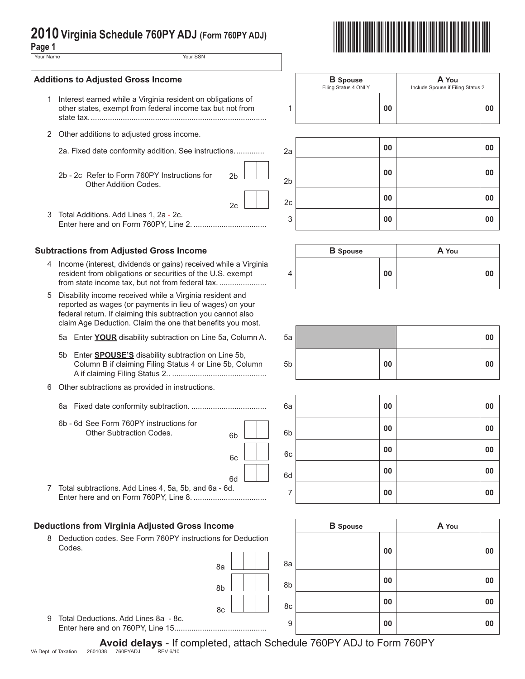| ay <del>c</del> ı |          |
|-------------------|----------|
| Your Name         | Your SSN |
|                   |          |

## **Additions to Adjusted Gross Income**

- 1 Interest earned while a Virginia resident on obligations of other states, exempt from federal income tax but not from state tax...................................................................................
- 2 Other additions to adjusted gross income.
	-
	- 2b 2c Refer to Form 760PY Instructions for Other Addition Codes.
- 3 Total Additions. Add Lines 1, 2a 2c.

# **Subtractions from Adjusted Gross Income**

- 4 Income (interest, dividends or gains) received while a Virginia resident from obligations or securities of the U.S. exempt from state income tax, but not from federal tax. ................................
- 5 Disability income received while a Virginia resident and reported as wages (or payments in lieu of wages) on your federal return. If claiming this subtraction you cannot also claim Age Deduction. Claim the one that benefits you most.
	- 5a Enter **YOUR** disability subtraction on Line 5a, Column A.
	- 5b Enter **SPOUSE'S** disability subtraction on Line 5b, Column B if claiming Filing Status 4 or Line 5b, Column A if claiming Filing Status 2.. ............................................
- 6 Other subtractions as provided in instructions.
	- 6a Fixed date conformity subtraction. ................................... 6a **00 00**
	- 6b 6d See Form 760PY instructions for Other Subtraction Codes. 6b

|                                                         | $\mathbf{u}$ |
|---------------------------------------------------------|--------------|
| 7 Total subtractions. Add Lines 4, 5a, 5b, and 6a - 6d. |              |
|                                                         |              |

### **Deductions from Virginia Adjusted Gross Income**

8 Deduction codes. See Form 760PY instructions for Deduction Codes.

|                                                                                    | 8a L I I I V                                                            | 8a |
|------------------------------------------------------------------------------------|-------------------------------------------------------------------------|----|
|                                                                                    | $\begin{array}{c c c c c} \hline \mathbf{8b} & \mathbf{8b} \end{array}$ |    |
| $\mathbf{A}$ . The set of $\mathbf{A}$ and $\mathbf{A}$ is a set of $\mathbf{A}$ . | $\begin{array}{c c c c c} \hline \text{sc} & \text{sc} \end{array}$ 8c  |    |





|   | <b>B</b> Spouse<br>Filing Status 4 ONLY |    | A You<br>Include Spouse if Filing Status 2 |    |
|---|-----------------------------------------|----|--------------------------------------------|----|
| 1 |                                         | 00 |                                            | 00 |



|   | <b>B</b> Spouse |    | A You |  |
|---|-----------------|----|-------|--|
| 4 |                 | 00 |       |  |

| 5a |    | 00 |
|----|----|----|
| 5b | 00 | 00 |

|                                                                                  | 6a             | 00 | 00 |
|----------------------------------------------------------------------------------|----------------|----|----|
| 6b - 6d See Form 760PY instructions for<br><b>Other Subtraction Codes.</b><br>6h | 6 <sub>b</sub> | 00 | 00 |
| 6c                                                                               | 6c             | 00 | 00 |
| 6d                                                                               | 6d             | 00 | 00 |
| Total subtractions. Add Lines 4, 5a, 5b, and 6a - 6d.                            |                | 00 | 00 |

| ome             | <b>B</b> Spouse | A You |
|-----------------|-----------------|-------|
| s for Deduction |                 |       |
|                 | 00              | 00    |
| 8a<br>8a        |                 |       |
| 8b<br>8b        | 00              | 00    |
| 8c<br>8c        | 00              | 00    |
| 9               | 00              | 00    |

Avoid delays - If completed, attach Schedule 760PY ADJ to Form 760PY<br>038 760PYADJ REV6/10